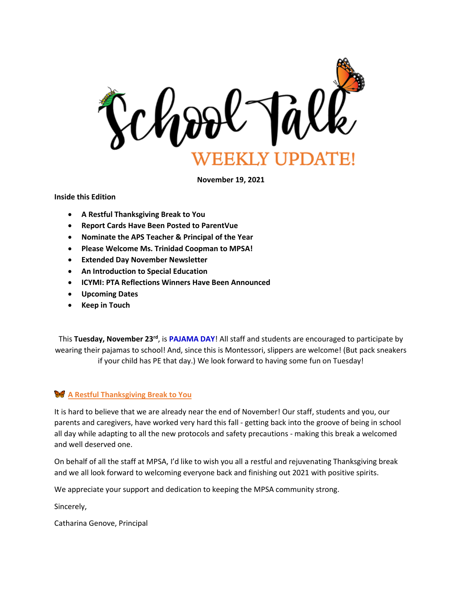

**November 19, 2021**

**Inside this Edition**

- **A Restful Thanksgiving Break to You**
- **Report Cards Have Been Posted to ParentVue**
- **Nominate the APS Teacher & Principal of the Year**
- **Please Welcome Ms. Trinidad Coopman to MPSA!**
- **Extended Day November Newsletter**
- **An Introduction to Special Education**
- **ICYMI: PTA Reflections Winners Have Been Announced**
- **Upcoming Dates**
- **Keep in Touch**

This **Tuesday, November 23rd**, is **PAJAMA DAY**! All staff and students are encouraged to participate by wearing their pajamas to school! And, since this is Montessori, slippers are welcome! (But pack sneakers if your child has PE that day.) We look forward to having some fun on Tuesday!

# **A Restful Thanksgiving Break to You**

It is hard to believe that we are already near the end of November! Our staff, students and you, our parents and caregivers, have worked very hard this fall - getting back into the groove of being in school all day while adapting to all the new protocols and safety precautions - making this break a welcomed and well deserved one.

On behalf of all the staff at MPSA, I'd like to wish you all a restful and rejuvenating Thanksgiving break and we all look forward to welcoming everyone back and finishing out 2021 with positive spirits.

We appreciate your support and dedication to keeping the MPSA community strong.

Sincerely,

Catharina Genove, Principal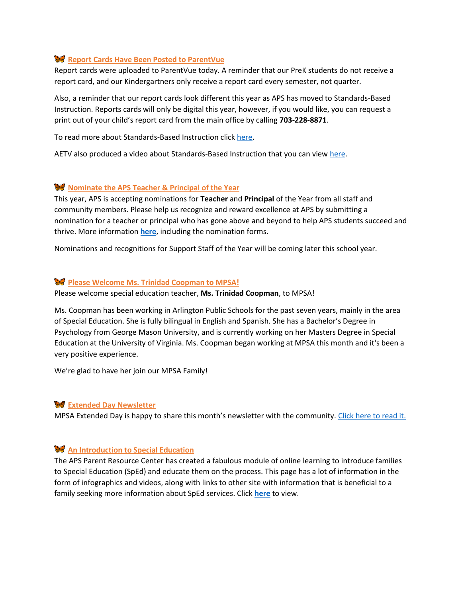# **Report Cards Have Been Posted to ParentVue**

Report cards were uploaded to ParentVue today. A reminder that our PreK students do not receive a report card, and our Kindergartners only receive a report card every semester, not quarter.

Also, a reminder that our report cards look different this year as APS has moved to Standards-Based Instruction. Reports cards will only be digital this year, however, if you would like, you can request a print out of your child's report card from the main office by calling **703-228-8871**.

To read more about Standards-Based Instruction click [here.](https://www.apsva.us/standards-based-instruction/)

AETV also produced a video about Standards-Based Instruction that you can view [here.](https://vimeo.com/355401830)

## **Nominate the APS Teacher & Principal of the Year**

This year, APS is accepting nominations for **Teacher** and **Principal** of the Year from all staff and community members. Please help us recognize and reward excellence at APS by submitting a nomination for a teacher or principal who has gone above and beyond to help APS students succeed and thrive. More information **[here](https://www.apsva.us/post/nominations-open-for-teacher-and-principal-of-the-year/)**, including the nomination forms.

Nominations and recognitions for Support Staff of the Year will be coming later this school year.

## **Please Welcome Ms. Trinidad Coopman to MPSA!**

Please welcome special education teacher, **Ms. Trinidad Coopman**, to MPSA!

Ms. Coopman has been working in Arlington Public Schools for the past seven years, mainly in the area of Special Education. She is fully bilingual in English and Spanish. She has a Bachelor's Degree in Psychology from George Mason University, and is currently working on her Masters Degree in Special Education at the University of Virginia. Ms. Coopman began working at MPSA this month and it's been a very positive experience.

We're glad to have her join our MPSA Family!

## **W** Extended Day Newsletter

MPSA Extended Day is happy to share this month's newsletter with the community. [Click here to read it.](http://track.spe.schoolmessenger.com/f/a/2NIpQT7yx00nVtw6T7jcSg~~/AAAAAQA~/RgRjeaiyP0R1aHR0cHM6Ly9tc2cuc2Nob29sbWVzc2VuZ2VyLmNvbS9tLz9zPU56ajI5bC1zNzFZJm1hbD0zYjI0YWM1NGU0NjE4NTc3ZjUwYTdiYWJlZmViMDYzMzkwMTVmOTBmOWMyOWIzZTQ5YTI1ZTFhNjU0NTE3MWZjVwdzY2hvb2xtQgphlTJ1mGF-u3yFUhxraWEuc3RldmVuc29uaGF5bmVzQGFwc3ZhLnVzWAQAAAAB)

## **An Introduction to Special Education**

The APS Parent Resource Center has created a fabulous module of online learning to introduce families to Special Education (SpEd) and educate them on the process. This page has a lot of information in the form of infographics and videos, along with links to other site with information that is beneficial to a family seeking more information about SpEd services. Click **[here](https://www.apsva.us/special-education/parent-resource-center/an-introduction-to-special-education/)** to view.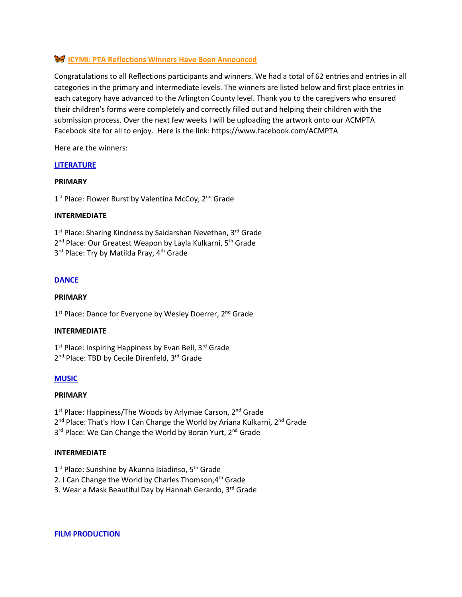# **ICYMI: PTA Reflections Winners Have Been Announced**

Congratulations to all Reflections participants and winners. We had a total of 62 entries and entries in all categories in the primary and intermediate levels. The winners are listed below and first place entries in each category have advanced to the Arlington County level. Thank you to the caregivers who ensured their children's forms were completely and correctly filled out and helping their children with the submission process. Over the next few weeks I will be uploading the artwork onto our ACMPTA Facebook site for all to enjoy. Here is the link: https://www.facebook.com/ACMPTA

Here are the winners:

## **LITERATURE**

## **PRIMARY**

1<sup>st</sup> Place: Flower Burst by Valentina McCoy, 2<sup>nd</sup> Grade

## **INTERMEDIATE**

1<sup>st</sup> Place: Sharing Kindness by Saidarshan Nevethan, 3<sup>rd</sup> Grade 2<sup>nd</sup> Place: Our Greatest Weapon by Layla Kulkarni, 5<sup>th</sup> Grade 3<sup>rd</sup> Place: Try by Matilda Pray, 4<sup>th</sup> Grade

## **DANCE**

#### **PRIMARY**

1<sup>st</sup> Place: Dance for Everyone by Wesley Doerrer, 2<sup>nd</sup> Grade

#### **INTERMEDIATE**

1<sup>st</sup> Place: Inspiring Happiness by Evan Bell, 3<sup>rd</sup> Grade 2<sup>nd</sup> Place: TBD by Cecile Direnfeld, 3<sup>rd</sup> Grade

## **MUSIC**

#### **PRIMARY**

1<sup>st</sup> Place: Happiness/The Woods by Arlymae Carson, 2<sup>nd</sup> Grade

2<sup>nd</sup> Place: That's How I Can Change the World by Ariana Kulkarni, 2<sup>nd</sup> Grade

3<sup>rd</sup> Place: We Can Change the World by Boran Yurt, 2<sup>nd</sup> Grade

## **INTERMEDIATE**

- 1<sup>st</sup> Place: Sunshine by Akunna Isiadinso, 5<sup>th</sup> Grade
- 2. I Can Change the World by Charles Thomson, 4<sup>th</sup> Grade
- 3. Wear a Mask Beautiful Day by Hannah Gerardo, 3<sup>rd</sup> Grade

**FILM PRODUCTION**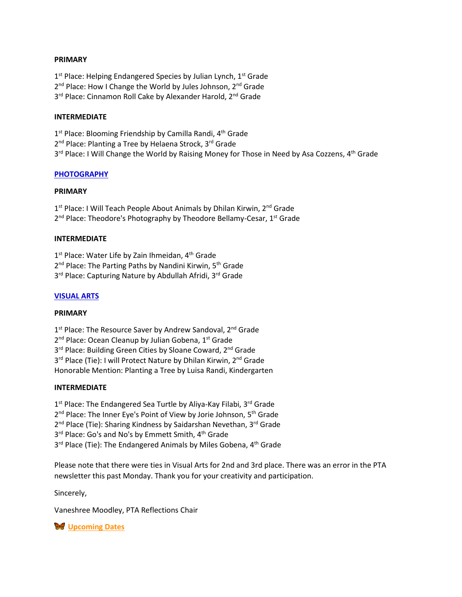#### **PRIMARY**

1<sup>st</sup> Place: Helping Endangered Species by Julian Lynch, 1<sup>st</sup> Grade 2<sup>nd</sup> Place: How I Change the World by Jules Johnson, 2<sup>nd</sup> Grade 3<sup>rd</sup> Place: Cinnamon Roll Cake by Alexander Harold, 2<sup>nd</sup> Grade

## **INTERMEDIATE**

1<sup>st</sup> Place: Blooming Friendship by Camilla Randi, 4<sup>th</sup> Grade 2<sup>nd</sup> Place: Planting a Tree by Helaena Strock, 3<sup>rd</sup> Grade 3<sup>rd</sup> Place: I Will Change the World by Raising Money for Those in Need by Asa Cozzens, 4<sup>th</sup> Grade

## **PHOTOGRAPHY**

#### **PRIMARY**

1<sup>st</sup> Place: I Will Teach People About Animals by Dhilan Kirwin, 2<sup>nd</sup> Grade 2<sup>nd</sup> Place: Theodore's Photography by Theodore Bellamy-Cesar, 1<sup>st</sup> Grade

## **INTERMEDIATE**

1<sup>st</sup> Place: Water Life by Zain Ihmeidan, 4<sup>th</sup> Grade 2<sup>nd</sup> Place: The Parting Paths by Nandini Kirwin, 5<sup>th</sup> Grade 3<sup>rd</sup> Place: Capturing Nature by Abdullah Afridi, 3<sup>rd</sup> Grade

## **VISUAL ARTS**

#### **PRIMARY**

1<sup>st</sup> Place: The Resource Saver by Andrew Sandoval, 2<sup>nd</sup> Grade 2<sup>nd</sup> Place: Ocean Cleanup by Julian Gobena, 1<sup>st</sup> Grade 3<sup>rd</sup> Place: Building Green Cities by Sloane Coward, 2<sup>nd</sup> Grade 3<sup>rd</sup> Place (Tie): I will Protect Nature by Dhilan Kirwin, 2<sup>nd</sup> Grade Honorable Mention: Planting a Tree by Luisa Randi, Kindergarten

## **INTERMEDIATE**

1<sup>st</sup> Place: The Endangered Sea Turtle by Aliya-Kay Filabi, 3<sup>rd</sup> Grade 2<sup>nd</sup> Place: The Inner Eye's Point of View by Jorie Johnson, 5<sup>th</sup> Grade 2<sup>nd</sup> Place (Tie): Sharing Kindness by Saidarshan Nevethan, 3<sup>rd</sup> Grade 3<sup>rd</sup> Place: Go's and No's by Emmett Smith, 4<sup>th</sup> Grade 3<sup>rd</sup> Place (Tie): The Endangered Animals by Miles Gobena, 4<sup>th</sup> Grade

Please note that there were ties in Visual Arts for 2nd and 3rd place. There was an error in the PTA newsletter this past Monday. Thank you for your creativity and participation.

Sincerely,

Vaneshree Moodley, PTA Reflections Chair

**W** Upcoming Dates